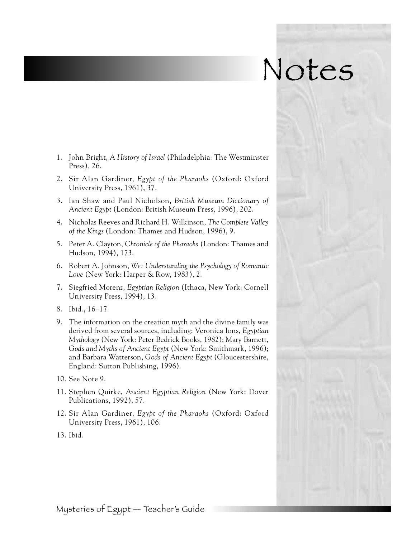## Notes

- 1. John Bright, *A History of Israel* (Philadelphia: The Westminster Press), 26.
- 2. Sir Alan Gardiner, *Egypt of the Pharaohs* (Oxford: Oxford University Press, 1961), 37.
- 3 . Ian Shaw and Paul Nicholson, *British Museum Dictionary of Ancient Egypt* (London: British Museum Press, 1996), 202.
- 4. Nicholas Reeves and Richard H. Wilkinson, *The Complete Valley of the Kings* (London: Thames and Hudson, 1996), 9.
- 5. Peter A. Clayton, *Chronicle of the Pharaohs* (London: Thames and Hudson, 1994), 173.
- 6. Robert A. Johnson, *We: Understanding the Psychology of Romantic Love* (New York: Harper & Row, 1983), 2.
- 7. Siegfried Morenz, *Egyptian Religion* (Ithaca, New York: Cornell University Press, 1994), 13.
- 8. Ibid., 16–17.
- 9 . The information on the creation myth and the divine family was derived from several sources, including: Veronica Ions, *Egyptian Mythology* (New York: Peter Bedrick Books, 1982); Mary Barnett, *Gods and Myths of Ancient Egypt* (New York: Smithmark, 1996); and Barbara Watterson, Gods of Ancient Egypt (Gloucestershire, England: Sutton Publishing, 1996).
- 10. See Note 9.
- 1 1 . Stephen Quirke, *Ancient Egyptian Religion* (New York: Dover Publications, 1992), 57.
- 12. Sir Alan Gardiner, Egypt of the Pharaohs (Oxford: Oxford University Press, 1961), 106.
- 13. Ibid.